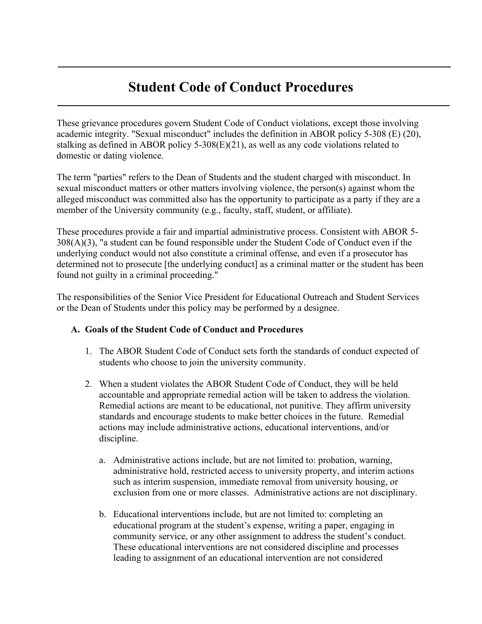# **Student Code of Conduct Procedures**

These grievance procedures govern Student Code of Conduct violations, except those involving academic integrity. "Sexual misconduct" includes the definition in ABOR policy 5-308 (E) (20), stalking as defined in ABOR policy 5-308(E)(21), as well as any code violations related to domestic or dating violence.

The term "parties" refers to the Dean of Students and the student charged with misconduct. In sexual misconduct matters or other matters involving violence, the person(s) against whom the alleged misconduct was committed also has the opportunity to participate as a party if they are a member of the University community (e.g., faculty, staff, student, or affiliate).

These procedures provide a fair and impartial administrative process. Consistent with ABOR 5- 308(A)(3), "a student can be found responsible under the Student Code of Conduct even if the underlying conduct would not also constitute a criminal offense, and even if a prosecutor has determined not to prosecute [the underlying conduct] as a criminal matter or the student has been found not guilty in a criminal proceeding."

The responsibilities of the Senior Vice President for Educational Outreach and Student Services or the Dean of Students under this policy may be performed by a designee.

#### **A. Goals of the Student Code of Conduct and Procedures**

- 1. The ABOR Student Code of Conduct sets forth the standards of conduct expected of students who choose to join the university community.
- 2. When a student violates the ABOR Student Code of Conduct, they will be held accountable and appropriate remedial action will be taken to address the violation. Remedial actions are meant to be educational, not punitive. They affirm university standards and encourage students to make better choices in the future. Remedial actions may include administrative actions, educational interventions, and/or discipline.
	- a. Administrative actions include, but are not limited to: probation, warning, administrative hold, restricted access to university property, and interim actions such as interim suspension, immediate removal from university housing, or exclusion from one or more classes. Administrative actions are not disciplinary.
	- b. Educational interventions include, but are not limited to: completing an educational program at the student's expense, writing a paper, engaging in community service, or any other assignment to address the student's conduct. These educational interventions are not considered discipline and processes leading to assignment of an educational intervention are not considered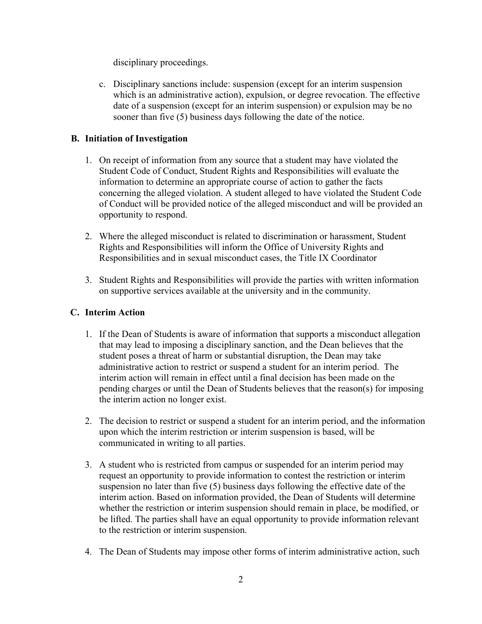disciplinary proceedings.

c. Disciplinary sanctions include: suspension (except for an interim suspension which is an administrative action), expulsion, or degree revocation. The effective date of a suspension (except for an interim suspension) or expulsion may be no sooner than five (5) business days following the date of the notice.

# **B. Initiation of Investigation**

- 1. On receipt of information from any source that a student may have violated the Student Code of Conduct, Student Rights and Responsibilities will evaluate the information to determine an appropriate course of action to gather the facts concerning the alleged violation. A student alleged to have violated the Student Code of Conduct will be provided notice of the alleged misconduct and will be provided an opportunity to respond.
- 2. Where the alleged misconduct is related to discrimination or harassment, Student Rights and Responsibilities will inform the Office of University Rights and Responsibilities and in sexual misconduct cases, the Title IX Coordinator
- 3. Student Rights and Responsibilities will provide the parties with written information on supportive services available at the university and in the community.

# **C. Interim Action**

- 1. If the Dean of Students is aware of information that supports a misconduct allegation that may lead to imposing a disciplinary sanction, and the Dean believes that the student poses a threat of harm or substantial disruption, the Dean may take administrative action to restrict or suspend a student for an interim period. The interim action will remain in effect until a final decision has been made on the pending charges or until the Dean of Students believes that the reason(s) for imposing the interim action no longer exist.
- 2. The decision to restrict or suspend a student for an interim period, and the information upon which the interim restriction or interim suspension is based, will be communicated in writing to all parties.
- 3. A student who is restricted from campus or suspended for an interim period may request an opportunity to provide information to contest the restriction or interim suspension no later than five (5) business days following the effective date of the interim action. Based on information provided, the Dean of Students will determine whether the restriction or interim suspension should remain in place, be modified, or be lifted. The parties shall have an equal opportunity to provide information relevant to the restriction or interim suspension.
- 4. The Dean of Students may impose other forms of interim administrative action, such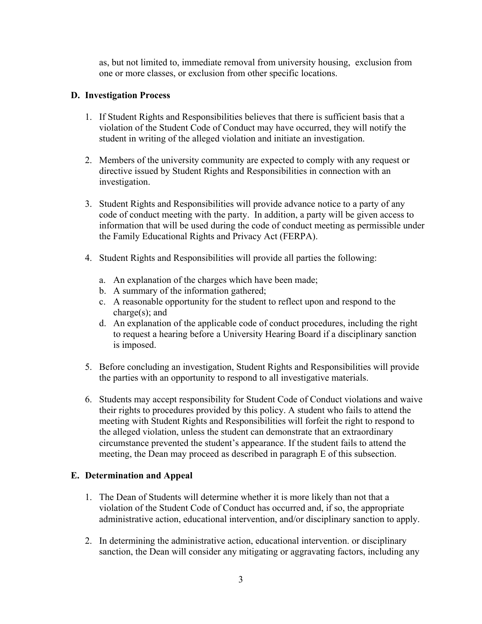as, but not limited to, immediate removal from university housing, exclusion from one or more classes, or exclusion from other specific locations.

#### **D. Investigation Process**

- 1. If Student Rights and Responsibilities believes that there is sufficient basis that a violation of the Student Code of Conduct may have occurred, they will notify the student in writing of the alleged violation and initiate an investigation.
- 2. Members of the university community are expected to comply with any request or directive issued by Student Rights and Responsibilities in connection with an investigation.
- 3. Student Rights and Responsibilities will provide advance notice to a party of any code of conduct meeting with the party. In addition, a party will be given access to information that will be used during the code of conduct meeting as permissible under the Family Educational Rights and Privacy Act (FERPA).
- 4. Student Rights and Responsibilities will provide all parties the following:
	- a. An explanation of the charges which have been made;
	- b. A summary of the information gathered;
	- c. A reasonable opportunity for the student to reflect upon and respond to the charge(s); and
	- d. An explanation of the applicable code of conduct procedures, including the right to request a hearing before a University Hearing Board if a disciplinary sanction is imposed.
- 5. Before concluding an investigation, Student Rights and Responsibilities will provide the parties with an opportunity to respond to all investigative materials.
- 6. Students may accept responsibility for Student Code of Conduct violations and waive their rights to procedures provided by this policy. A student who fails to attend the meeting with Student Rights and Responsibilities will forfeit the right to respond to the alleged violation, unless the student can demonstrate that an extraordinary circumstance prevented the student's appearance. If the student fails to attend the meeting, the Dean may proceed as described in paragraph E of this subsection.

## **E. Determination and Appeal**

- 1. The Dean of Students will determine whether it is more likely than not that a violation of the Student Code of Conduct has occurred and, if so, the appropriate administrative action, educational intervention, and/or disciplinary sanction to apply.
- 2. In determining the administrative action, educational intervention. or disciplinary sanction, the Dean will consider any mitigating or aggravating factors, including any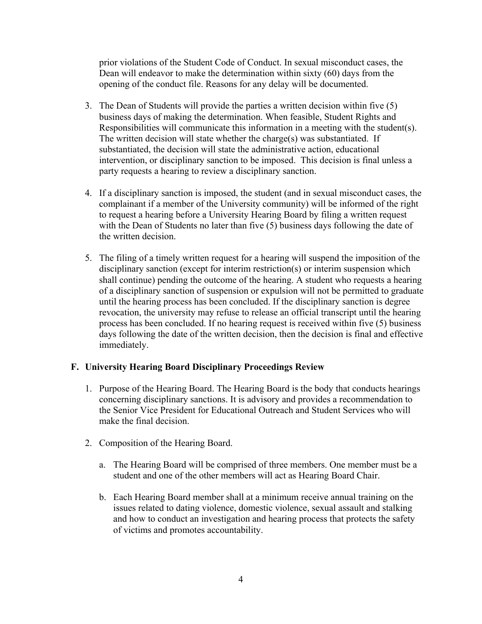prior violations of the Student Code of Conduct. In sexual misconduct cases, the Dean will endeavor to make the determination within sixty (60) days from the opening of the conduct file. Reasons for any delay will be documented.

- 3. The Dean of Students will provide the parties a written decision within five (5) business days of making the determination. When feasible, Student Rights and Responsibilities will communicate this information in a meeting with the student(s). The written decision will state whether the charge(s) was substantiated. If substantiated, the decision will state the administrative action, educational intervention, or disciplinary sanction to be imposed. This decision is final unless a party requests a hearing to review a disciplinary sanction.
- 4. If a disciplinary sanction is imposed, the student (and in sexual misconduct cases, the complainant if a member of the University community) will be informed of the right to request a hearing before a University Hearing Board by filing a written request with the Dean of Students no later than five (5) business days following the date of the written decision.
- 5. The filing of a timely written request for a hearing will suspend the imposition of the disciplinary sanction (except for interim restriction(s) or interim suspension which shall continue) pending the outcome of the hearing. A student who requests a hearing of a disciplinary sanction of suspension or expulsion will not be permitted to graduate until the hearing process has been concluded. If the disciplinary sanction is degree revocation, the university may refuse to release an official transcript until the hearing process has been concluded. If no hearing request is received within five (5) business days following the date of the written decision, then the decision is final and effective immediately.

## **F. University Hearing Board Disciplinary Proceedings Review**

- 1. Purpose of the Hearing Board. The Hearing Board is the body that conducts hearings concerning disciplinary sanctions. It is advisory and provides a recommendation to the Senior Vice President for Educational Outreach and Student Services who will make the final decision.
- 2. Composition of the Hearing Board.
	- a. The Hearing Board will be comprised of three members. One member must be a student and one of the other members will act as Hearing Board Chair.
	- b. Each Hearing Board member shall at a minimum receive annual training on the issues related to dating violence, domestic violence, sexual assault and stalking and how to conduct an investigation and hearing process that protects the safety of victims and promotes accountability.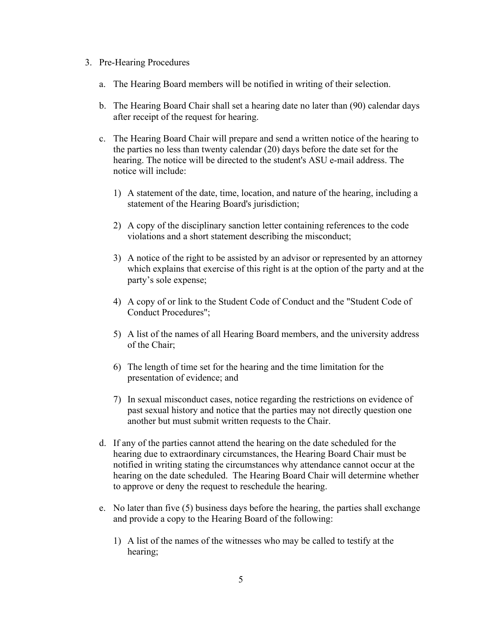- 3. Pre-Hearing Procedures
	- a. The Hearing Board members will be notified in writing of their selection.
	- b. The Hearing Board Chair shall set a hearing date no later than (90) calendar days after receipt of the request for hearing.
	- c. The Hearing Board Chair will prepare and send a written notice of the hearing to the parties no less than twenty calendar (20) days before the date set for the hearing. The notice will be directed to the student's ASU e-mail address. The notice will include:
		- 1) A statement of the date, time, location, and nature of the hearing, including a statement of the Hearing Board's jurisdiction;
		- 2) A copy of the disciplinary sanction letter containing references to the code violations and a short statement describing the misconduct;
		- 3) A notice of the right to be assisted by an advisor or represented by an attorney which explains that exercise of this right is at the option of the party and at the party's sole expense;
		- 4) A copy of or link to the Student Code of Conduct and the "Student Code of Conduct Procedures";
		- 5) A list of the names of all Hearing Board members, and the university address of the Chair;
		- 6) The length of time set for the hearing and the time limitation for the presentation of evidence; and
		- 7) In sexual misconduct cases, notice regarding the restrictions on evidence of past sexual history and notice that the parties may not directly question one another but must submit written requests to the Chair.
	- d. If any of the parties cannot attend the hearing on the date scheduled for the hearing due to extraordinary circumstances, the Hearing Board Chair must be notified in writing stating the circumstances why attendance cannot occur at the hearing on the date scheduled. The Hearing Board Chair will determine whether to approve or deny the request to reschedule the hearing.
	- e. No later than five (5) business days before the hearing, the parties shall exchange and provide a copy to the Hearing Board of the following:
		- 1) A list of the names of the witnesses who may be called to testify at the hearing;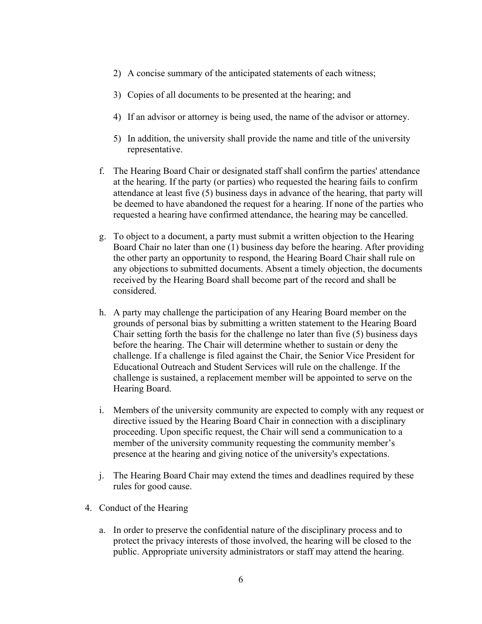- 2) A concise summary of the anticipated statements of each witness;
- 3) Copies of all documents to be presented at the hearing; and
- 4) If an advisor or attorney is being used, the name of the advisor or attorney.
- 5) In addition, the university shall provide the name and title of the university representative.
- f. The Hearing Board Chair or designated staff shall confirm the parties' attendance at the hearing. If the party (or parties) who requested the hearing fails to confirm attendance at least five (5) business days in advance of the hearing, that party will be deemed to have abandoned the request for a hearing. If none of the parties who requested a hearing have confirmed attendance, the hearing may be cancelled.
- g. To object to a document, a party must submit a written objection to the Hearing Board Chair no later than one (1) business day before the hearing. After providing the other party an opportunity to respond, the Hearing Board Chair shall rule on any objections to submitted documents. Absent a timely objection, the documents received by the Hearing Board shall become part of the record and shall be considered.
- h. A party may challenge the participation of any Hearing Board member on the grounds of personal bias by submitting a written statement to the Hearing Board Chair setting forth the basis for the challenge no later than five (5) business days before the hearing. The Chair will determine whether to sustain or deny the challenge. If a challenge is filed against the Chair, the Senior Vice President for Educational Outreach and Student Services will rule on the challenge. If the challenge is sustained, a replacement member will be appointed to serve on the Hearing Board.
- i. Members of the university community are expected to comply with any request or directive issued by the Hearing Board Chair in connection with a disciplinary proceeding. Upon specific request, the Chair will send a communication to a member of the university community requesting the community member's presence at the hearing and giving notice of the university's expectations.
- j. The Hearing Board Chair may extend the times and deadlines required by these rules for good cause.
- 4. Conduct of the Hearing
	- a. In order to preserve the confidential nature of the disciplinary process and to protect the privacy interests of those involved, the hearing will be closed to the public. Appropriate university administrators or staff may attend the hearing.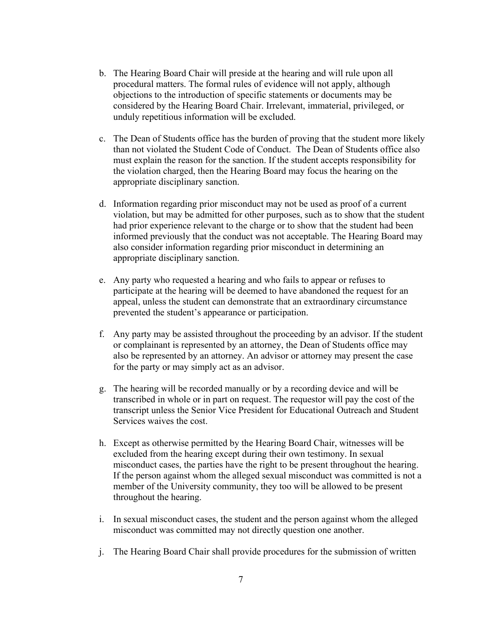- b. The Hearing Board Chair will preside at the hearing and will rule upon all procedural matters. The formal rules of evidence will not apply, although objections to the introduction of specific statements or documents may be considered by the Hearing Board Chair. Irrelevant, immaterial, privileged, or unduly repetitious information will be excluded.
- c. The Dean of Students office has the burden of proving that the student more likely than not violated the Student Code of Conduct. The Dean of Students office also must explain the reason for the sanction. If the student accepts responsibility for the violation charged, then the Hearing Board may focus the hearing on the appropriate disciplinary sanction.
- d. Information regarding prior misconduct may not be used as proof of a current violation, but may be admitted for other purposes, such as to show that the student had prior experience relevant to the charge or to show that the student had been informed previously that the conduct was not acceptable. The Hearing Board may also consider information regarding prior misconduct in determining an appropriate disciplinary sanction.
- e. Any party who requested a hearing and who fails to appear or refuses to participate at the hearing will be deemed to have abandoned the request for an appeal, unless the student can demonstrate that an extraordinary circumstance prevented the student's appearance or participation.
- f. Any party may be assisted throughout the proceeding by an advisor. If the student or complainant is represented by an attorney, the Dean of Students office may also be represented by an attorney. An advisor or attorney may present the case for the party or may simply act as an advisor.
- g. The hearing will be recorded manually or by a recording device and will be transcribed in whole or in part on request. The requestor will pay the cost of the transcript unless the Senior Vice President for Educational Outreach and Student Services waives the cost.
- h. Except as otherwise permitted by the Hearing Board Chair, witnesses will be excluded from the hearing except during their own testimony. In sexual misconduct cases, the parties have the right to be present throughout the hearing. If the person against whom the alleged sexual misconduct was committed is not a member of the University community, they too will be allowed to be present throughout the hearing.
- i. In sexual misconduct cases, the student and the person against whom the alleged misconduct was committed may not directly question one another.
- j. The Hearing Board Chair shall provide procedures for the submission of written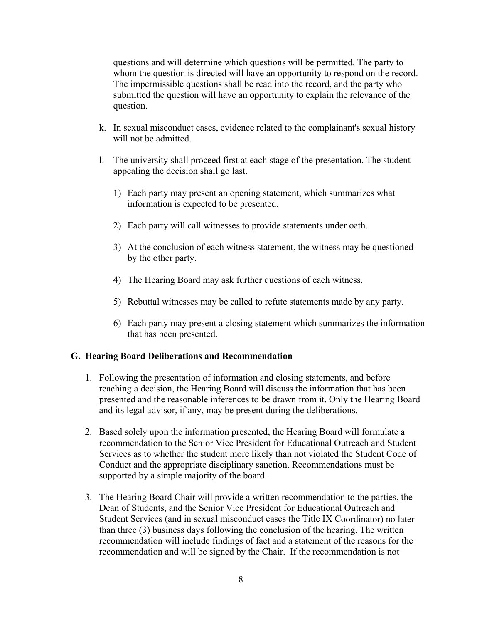questions and will determine which questions will be permitted. The party to whom the question is directed will have an opportunity to respond on the record. The impermissible questions shall be read into the record, and the party who submitted the question will have an opportunity to explain the relevance of the question.

- k. In sexual misconduct cases, evidence related to the complainant's sexual history will not be admitted.
- l. The university shall proceed first at each stage of the presentation. The student appealing the decision shall go last.
	- 1) Each party may present an opening statement, which summarizes what information is expected to be presented.
	- 2) Each party will call witnesses to provide statements under oath.
	- 3) At the conclusion of each witness statement, the witness may be questioned by the other party.
	- 4) The Hearing Board may ask further questions of each witness.
	- 5) Rebuttal witnesses may be called to refute statements made by any party.
	- 6) Each party may present a closing statement which summarizes the information that has been presented.

#### **G. Hearing Board Deliberations and Recommendation**

- 1. Following the presentation of information and closing statements, and before reaching a decision, the Hearing Board will discuss the information that has been presented and the reasonable inferences to be drawn from it. Only the Hearing Board and its legal advisor, if any, may be present during the deliberations.
- 2. Based solely upon the information presented, the Hearing Board will formulate a recommendation to the Senior Vice President for Educational Outreach and Student Services as to whether the student more likely than not violated the Student Code of Conduct and the appropriate disciplinary sanction. Recommendations must be supported by a simple majority of the board.
- 3. The Hearing Board Chair will provide a written recommendation to the parties, the Dean of Students, and the Senior Vice President for Educational Outreach and Student Services (and in sexual misconduct cases the Title IX Coordinator) no later than three (3) business days following the conclusion of the hearing. The written recommendation will include findings of fact and a statement of the reasons for the recommendation and will be signed by the Chair. If the recommendation is not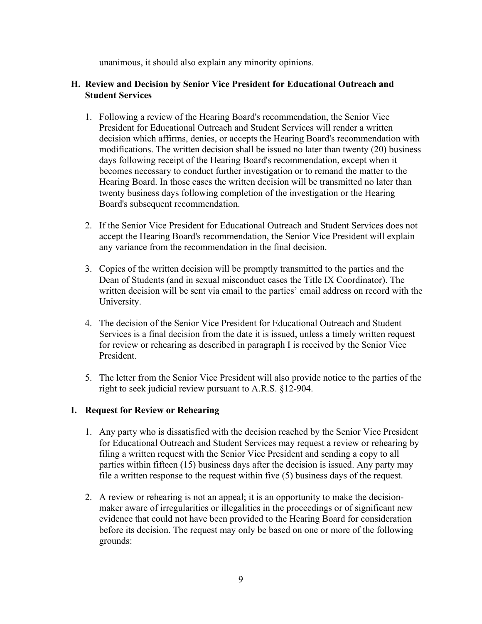unanimous, it should also explain any minority opinions.

#### **H. Review and Decision by Senior Vice President for Educational Outreach and Student Services**

- 1. Following a review of the Hearing Board's recommendation, the Senior Vice President for Educational Outreach and Student Services will render a written decision which affirms, denies, or accepts the Hearing Board's recommendation with modifications. The written decision shall be issued no later than twenty (20) business days following receipt of the Hearing Board's recommendation, except when it becomes necessary to conduct further investigation or to remand the matter to the Hearing Board. In those cases the written decision will be transmitted no later than twenty business days following completion of the investigation or the Hearing Board's subsequent recommendation.
- 2. If the Senior Vice President for Educational Outreach and Student Services does not accept the Hearing Board's recommendation, the Senior Vice President will explain any variance from the recommendation in the final decision.
- 3. Copies of the written decision will be promptly transmitted to the parties and the Dean of Students (and in sexual misconduct cases the Title IX Coordinator). The written decision will be sent via email to the parties' email address on record with the University.
- 4. The decision of the Senior Vice President for Educational Outreach and Student Services is a final decision from the date it is issued, unless a timely written request for review or rehearing as described in paragraph I is received by the Senior Vice President.
- 5. The letter from the Senior Vice President will also provide notice to the parties of the right to seek judicial review pursuant to A.R.S. §12-904.

## **I. Request for Review or Rehearing**

- 1. Any party who is dissatisfied with the decision reached by the Senior Vice President for Educational Outreach and Student Services may request a review or rehearing by filing a written request with the Senior Vice President and sending a copy to all parties within fifteen (15) business days after the decision is issued. Any party may file a written response to the request within five (5) business days of the request.
- 2. A review or rehearing is not an appeal; it is an opportunity to make the decisionmaker aware of irregularities or illegalities in the proceedings or of significant new evidence that could not have been provided to the Hearing Board for consideration before its decision. The request may only be based on one or more of the following grounds: